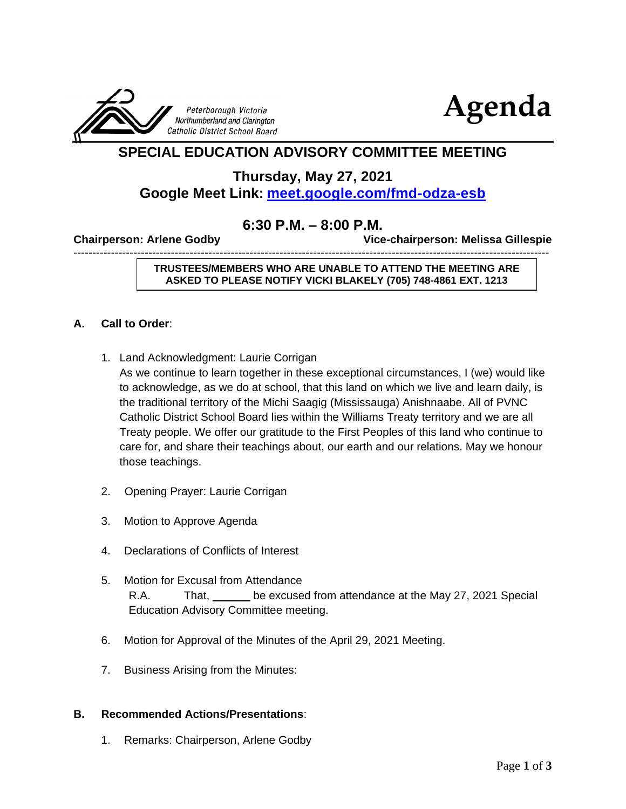



### **SPECIAL EDUCATION ADVISORY COMMITTEE MEETING**

**Thursday, May 27, 2021**

### **Google Meet Link: <meet.google.com/fmd-odza-esb>**

#### **6:30 P.M. – 8:00 P.M.**

-------------------------------------------------------------------------------------------------------------------------------

**Chairperson: Arlene Godby Vice-chairperson: Melissa Gillespie** 

**TRUSTEES/MEMBERS WHO ARE UNABLE TO ATTEND THE MEETING ARE ASKED TO PLEASE NOTIFY VICKI BLAKELY (705) 748-4861 EXT. 1213**

#### **A. Call to Order**:

1. Land Acknowledgment: Laurie Corrigan

As we continue to learn together in these exceptional circumstances, I (we) would like to acknowledge, as we do at school, that this land on which we live and learn daily, is the traditional territory of the Michi Saagig (Mississauga) Anishnaabe. All of PVNC Catholic District School Board lies within the Williams Treaty territory and we are all Treaty people. We offer our gratitude to the First Peoples of this land who continue to care for, and share their teachings about, our earth and our relations. May we honour those teachings.

- 2. Opening Prayer: Laurie Corrigan
- 3. Motion to Approve Agenda
- 4. Declarations of Conflicts of Interest
- 5. Motion for Excusal from Attendance R.A. That, be excused from attendance at the May 27, 2021 Special Education Advisory Committee meeting.
- 6. Motion for Approval of the Minutes of the April 29, 2021 Meeting.
- 7. Business Arising from the Minutes:

#### **B. Recommended Actions/Presentations**:

1. Remarks: Chairperson, Arlene Godby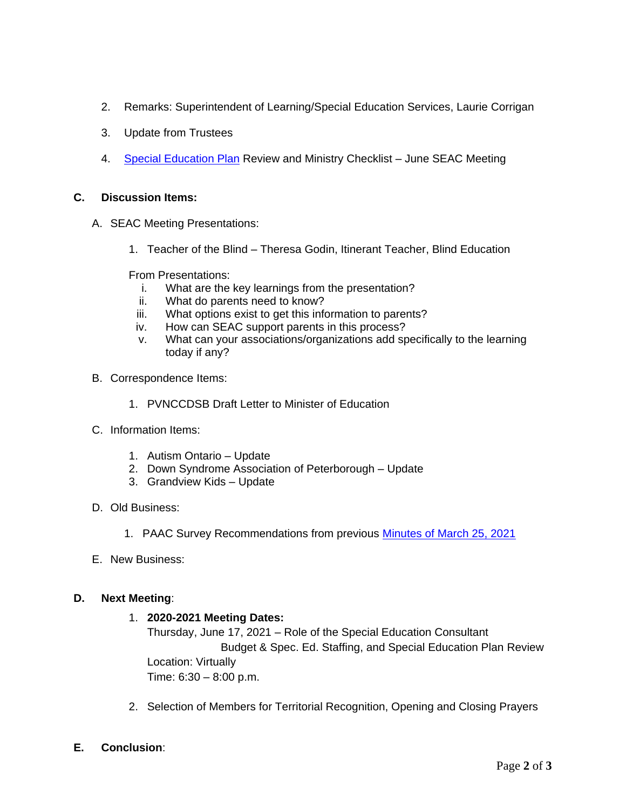- 2. Remarks: Superintendent of Learning/Special Education Services, Laurie Corrigan
- 3. Update from Trustees
- 4. [Special Education Plan](https://www.pvnccdsb.on.ca/wp-content/uploads/2020/11/2020-Special-Education-Plan.pdf) Review and Ministry Checklist June SEAC Meeting

#### **C. Discussion Items:**

- A. SEAC Meeting Presentations:
	- 1. Teacher of the Blind Theresa Godin, Itinerant Teacher, Blind Education

From Presentations:

- i. What are the key learnings from the presentation?
- ii. What do parents need to know?
- iii. What options exist to get this information to parents?
- iv. How can SEAC support parents in this process?
- v. What can your associations/organizations add specifically to the learning today if any?
- B. Correspondence Items:
	- 1. PVNCCDSB Draft Letter to Minister of Education
- C. Information Items:
	- 1. Autism Ontario Update
	- 2. Down Syndrome Association of Peterborough Update
	- 3. Grandview Kids Update
- D. Old Business:
	- 1. PAAC Survey Recommendations from previous [Minutes of March 25, 2021](https://www.pvnccdsb.on.ca/wp-content/uploads/2018/08/SEAC-Minutes-March-25-2021.pdf)
- E. New Business:

#### **D. Next Meeting**:

#### 1. **2020-2021 Meeting Dates:**

Thursday, June 17, 2021 – Role of the Special Education Consultant Budget & Spec. Ed. Staffing, and Special Education Plan Review Location: Virtually Time: 6:30 – 8:00 p.m.

- 2. Selection of Members for Territorial Recognition, Opening and Closing Prayers
- **E. Conclusion**: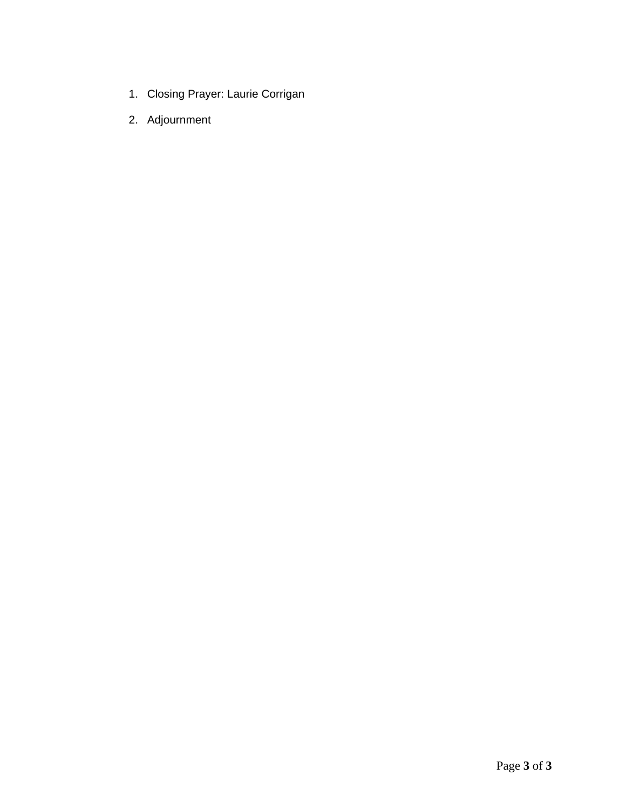- 1. Closing Prayer: Laurie Corrigan
- 2. Adjournment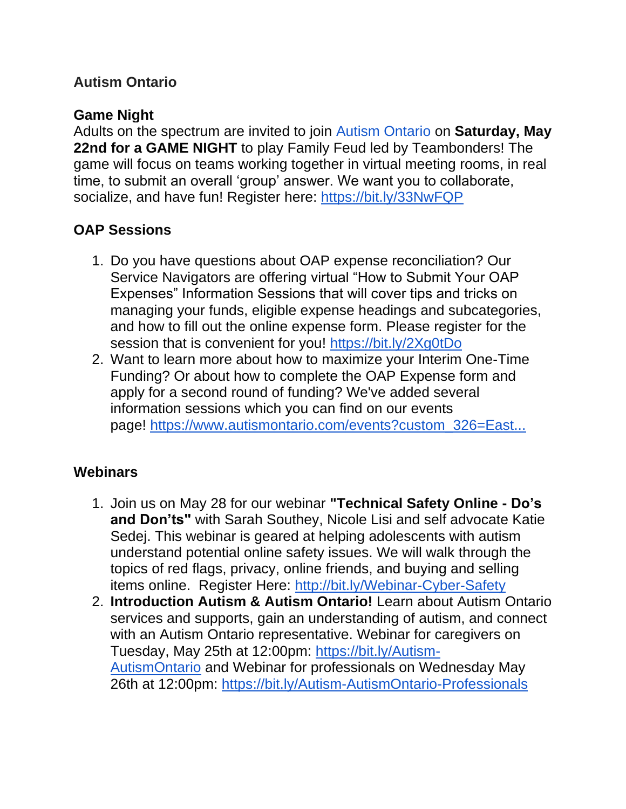# **Autism Ontario**

# **Game Night**

Adults on the spectrum are invited to join Autism [Ontario](https://www.facebook.com/autismontarioprovincial/?__cft__%5b0%5d=AZV78ovX9m0okguw2utYNFj7A3l8-d-pzG46TvrGVqH5vukVReVmHkQ6iZxckStWsvF9sFfg9FQv4EunBVHLo_HipK8tRkqkXy4jA1wozjdC3vnK8mNu0fcRGeRVkwoOZDwJHEEeeI36j2R0Q2u9uOHF&__tn__=kK-R) on **Saturday, May 22nd for a GAME NIGHT** to play Family Feud led by Teambonders! The game will focus on teams working together in virtual meeting rooms, in real time, to submit an overall 'group' answer. We want you to collaborate, socialize, and have fun! Register here: [https://bit.ly/33NwFQP](https://bit.ly/33NwFQP?fbclid=IwAR10tC2y8DRY6ZGwIxgbi7bssCk0J8qKqhLi79Hy8XxvAzUCPsVe9-2EahM)

# **OAP Sessions**

- 1. Do you have questions about OAP expense reconciliation? Our Service Navigators are offering virtual "How to Submit Your OAP Expenses" Information Sessions that will cover tips and tricks on managing your funds, eligible expense headings and subcategories, and how to fill out the online expense form. Please register for the session that is convenient for you! [https://bit.ly/2Xg0tDo](https://bit.ly/2Xg0tDo?fbclid=IwAR0ueOP2KU_fQqr8ofTpFKn7hI7G7gkruBbY9B78WNj51GpIIFH0fTQzxRM)
- 2. Want to learn more about how to maximize your Interim One-Time Funding? Or about how to complete the OAP Expense form and apply for a second round of funding? We've added several information sessions which you can find on our events page! [https://www.autismontario.com/events?custom\\_326=East...](https://www.autismontario.com/events?custom_326=East...)

## **Webinars**

- 1. Join us on May 28 for our webinar **"Technical Safety Online - Do's and Don'ts"** with Sarah Southey, Nicole Lisi and self advocate Katie Sedej. This webinar is geared at helping adolescents with autism understand potential online safety issues. We will walk through the topics of red flags, privacy, online friends, and buying and selling items online. Register Here: [http://bit.ly/Webinar-Cyber-Safety](https://bit.ly/Webinar-Cyber-Safety?fbclid=IwAR06FxfI-drW0SX-PkKTSXTtxsWYa9W5x6PZNbVEw9K7RBPQgUS0qNBs9ks)
- 2. **Introduction Autism & Autism Ontario!** Learn about Autism Ontario services and supports, gain an understanding of autism, and connect with an Autism Ontario representative. Webinar for caregivers on Tuesday, May 25th at 12:00pm: [https://bit.ly/Autism-](https://bit.ly/Autism-AutismOntario?fbclid=IwAR0ueOP2KU_fQqr8ofTpFKn7hI7G7gkruBbY9B78WNj51GpIIFH0fTQzxRM)[AutismOntario](https://bit.ly/Autism-AutismOntario?fbclid=IwAR0ueOP2KU_fQqr8ofTpFKn7hI7G7gkruBbY9B78WNj51GpIIFH0fTQzxRM) and Webinar for professionals on Wednesday May 26th at 12:00pm: [https://bit.ly/Autism-AutismOntario-Professionals](https://bit.ly/Autism-AutismOntario-Professionals?fbclid=IwAR1b6kliaaDnOJ1tjKvOKttvwgdfK0HPnfCHxF2x1Y3C0TwSAVSRpCkzkdQ)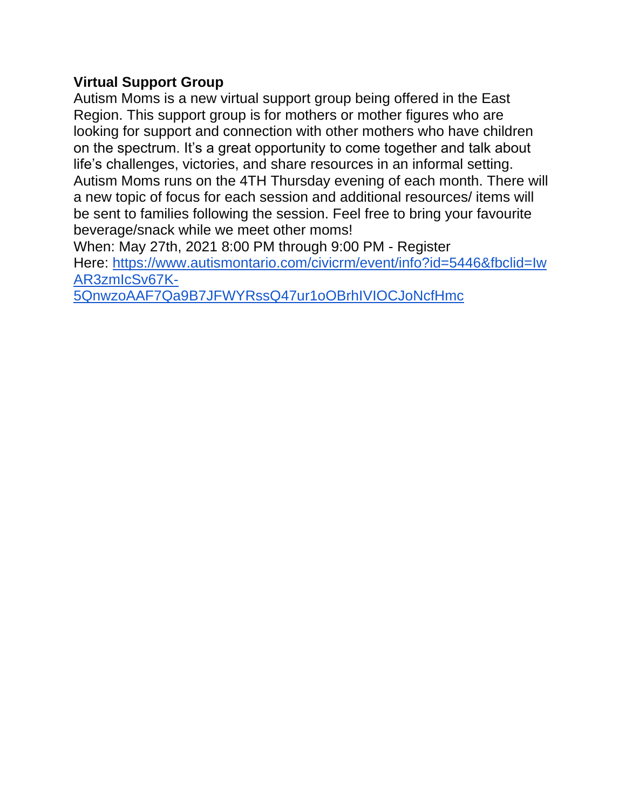## **Virtual Support Group**

Autism Moms is a new virtual support group being offered in the East Region. This support group is for mothers or mother figures who are looking for support and connection with other mothers who have children on the spectrum. It's a great opportunity to come together and talk about life's challenges, victories, and share resources in an informal setting. Autism Moms runs on the 4TH Thursday evening of each month. There will a new topic of focus for each session and additional resources/ items will be sent to families following the session. Feel free to bring your favourite beverage/snack while we meet other moms!

When: May 27th, 2021 8:00 PM through 9:00 PM - Register Here: [https://www.autismontario.com/civicrm/event/info?id=5446&fbclid=Iw](https://www.autismontario.com/civicrm/event/info?id=5446&fbclid=IwAR3zmIcSv67K-5QnwzoAAF7Qa9B7JFWYRssQ47ur1oOBrhIVIOCJoNcfHmc) [AR3zmIcSv67K-](https://www.autismontario.com/civicrm/event/info?id=5446&fbclid=IwAR3zmIcSv67K-5QnwzoAAF7Qa9B7JFWYRssQ47ur1oOBrhIVIOCJoNcfHmc)

[5QnwzoAAF7Qa9B7JFWYRssQ47ur1oOBrhIVIOCJoNcfHmc](https://www.autismontario.com/civicrm/event/info?id=5446&fbclid=IwAR3zmIcSv67K-5QnwzoAAF7Qa9B7JFWYRssQ47ur1oOBrhIVIOCJoNcfHmc)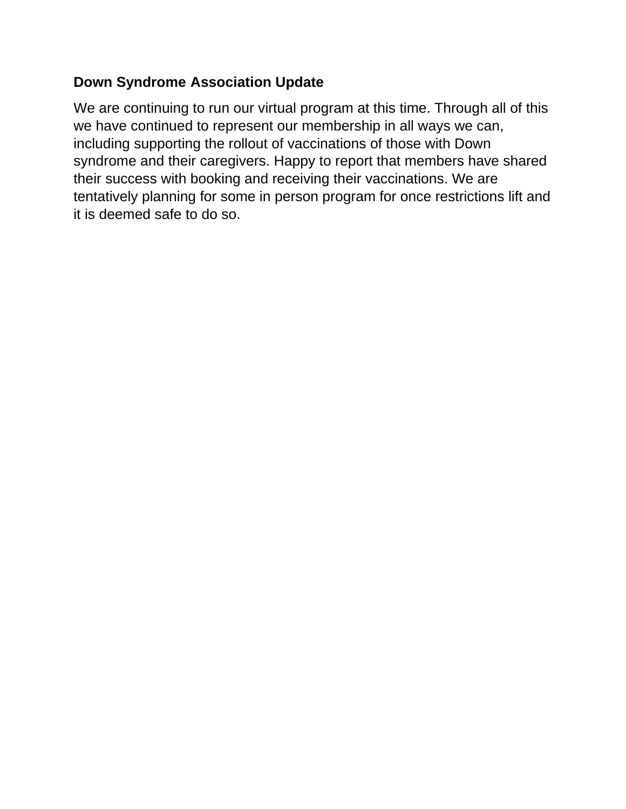## **Down Syndrome Association Update**

We are continuing to run our virtual program at this time. Through all of this we have continued to represent our membership in all ways we can, including supporting the rollout of vaccinations of those with Down syndrome and their caregivers. Happy to report that members have shared their success with booking and receiving their vaccinations. We are tentatively planning for some in person program for once restrictions lift and it is deemed safe to do so.